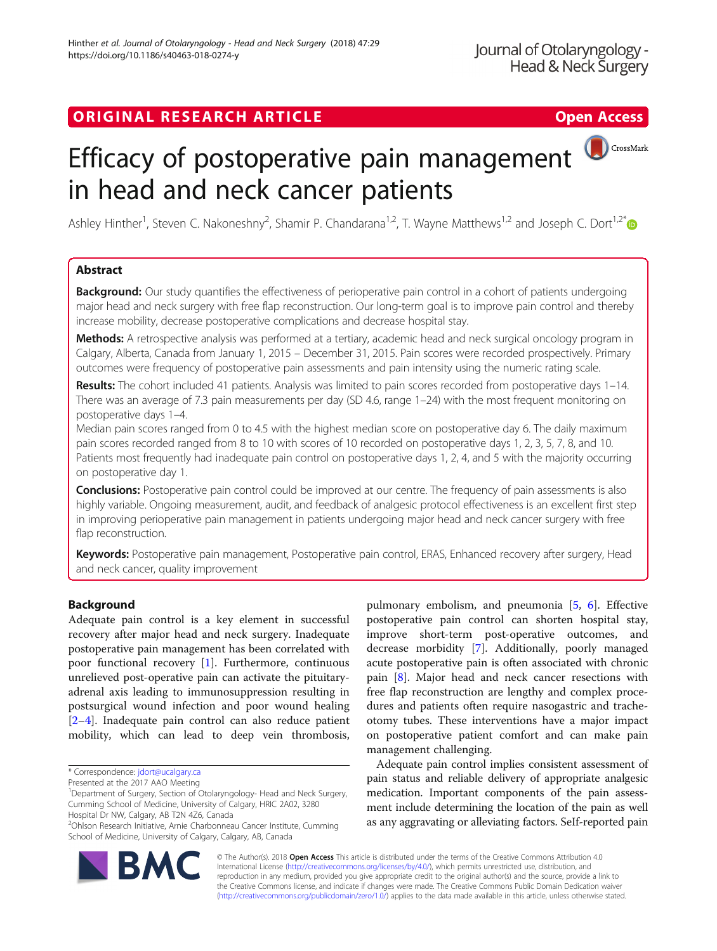## ORIGINAL RESEARCH ARTICLE **External of the Contract Contract Contract Contract Contract Contract Contract Contract Contract Contract Contract Contract Contract Contract Contract Contract Contract Contract Contract Contract**



# Efficacy of postoperative pain management in head and neck cancer patients

Ashley Hinther<sup>1</sup>, Steven C. Nakoneshny<sup>2</sup>, Shamir P. Chandarana<sup>1,2</sup>, T. Wayne Matthews<sup>1,2</sup> and Joseph C. Dort<sup>1,2\*</sup>

## Abstract

**Background:** Our study quantifies the effectiveness of perioperative pain control in a cohort of patients undergoing major head and neck surgery with free flap reconstruction. Our long-term goal is to improve pain control and thereby increase mobility, decrease postoperative complications and decrease hospital stay.

Methods: A retrospective analysis was performed at a tertiary, academic head and neck surgical oncology program in Calgary, Alberta, Canada from January 1, 2015 – December 31, 2015. Pain scores were recorded prospectively. Primary outcomes were frequency of postoperative pain assessments and pain intensity using the numeric rating scale.

Results: The cohort included 41 patients. Analysis was limited to pain scores recorded from postoperative days 1–14. There was an average of 7.3 pain measurements per day (SD 4.6, range 1–24) with the most frequent monitoring on postoperative days 1–4.

Median pain scores ranged from 0 to 4.5 with the highest median score on postoperative day 6. The daily maximum pain scores recorded ranged from 8 to 10 with scores of 10 recorded on postoperative days 1, 2, 3, 5, 7, 8, and 10. Patients most frequently had inadequate pain control on postoperative days 1, 2, 4, and 5 with the majority occurring on postoperative day 1.

**Conclusions:** Postoperative pain control could be improved at our centre. The frequency of pain assessments is also highly variable. Ongoing measurement, audit, and feedback of analgesic protocol effectiveness is an excellent first step in improving perioperative pain management in patients undergoing major head and neck cancer surgery with free flap reconstruction.

Keywords: Postoperative pain management, Postoperative pain control, ERAS, Enhanced recovery after surgery, Head and neck cancer, quality improvement

## **Background**

Adequate pain control is a key element in successful recovery after major head and neck surgery. Inadequate postoperative pain management has been correlated with poor functional recovery [\[1](#page-5-0)]. Furthermore, continuous unrelieved post-operative pain can activate the pituitaryadrenal axis leading to immunosuppression resulting in postsurgical wound infection and poor wound healing [[2](#page-5-0)–[4\]](#page-5-0). Inadequate pain control can also reduce patient mobility, which can lead to deep vein thrombosis,



pulmonary embolism, and pneumonia [\[5,](#page-5-0) [6](#page-5-0)]. Effective

Adequate pain control implies consistent assessment of pain status and reliable delivery of appropriate analgesic medication. Important components of the pain assessment include determining the location of the pain as well as any aggravating or alleviating factors. SeIf-reported pain



© The Author(s). 2018 Open Access This article is distributed under the terms of the Creative Commons Attribution 4.0 International License [\(http://creativecommons.org/licenses/by/4.0/](http://creativecommons.org/licenses/by/4.0/)), which permits unrestricted use, distribution, and reproduction in any medium, provided you give appropriate credit to the original author(s) and the source, provide a link to the Creative Commons license, and indicate if changes were made. The Creative Commons Public Domain Dedication waiver [\(http://creativecommons.org/publicdomain/zero/1.0/](http://creativecommons.org/publicdomain/zero/1.0/)) applies to the data made available in this article, unless otherwise stated.

<sup>\*</sup> Correspondence: [jdort@ucalgary.ca](mailto:jdort@ucalgary.ca)

Presented at the 2017 AAO Meeting

<sup>&</sup>lt;sup>1</sup>Department of Surgery, Section of Otolaryngology- Head and Neck Surgery, Cumming School of Medicine, University of Calgary, HRIC 2A02, 3280 Hospital Dr NW, Calgary, AB T2N 4Z6, Canada

<sup>&</sup>lt;sup>2</sup>Ohlson Research Initiative, Arnie Charbonneau Cancer Institute, Cumming School of Medicine, University of Calgary, Calgary, AB, Canada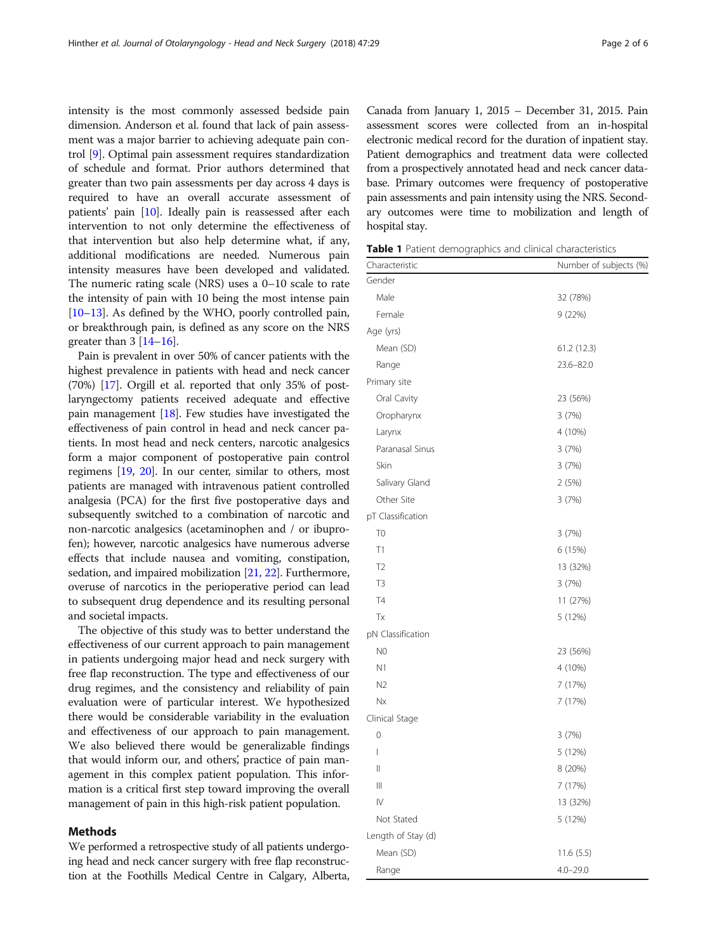<span id="page-1-0"></span>intensity is the most commonly assessed bedside pain dimension. Anderson et al. found that lack of pain assessment was a major barrier to achieving adequate pain control [\[9\]](#page-5-0). Optimal pain assessment requires standardization of schedule and format. Prior authors determined that greater than two pain assessments per day across 4 days is required to have an overall accurate assessment of patients' pain [\[10\]](#page-5-0). Ideally pain is reassessed after each intervention to not only determine the effectiveness of that intervention but also help determine what, if any, additional modifications are needed. Numerous pain intensity measures have been developed and validated. The numeric rating scale (NRS) uses a 0–10 scale to rate the intensity of pain with 10 being the most intense pain [[10](#page-5-0)–[13\]](#page-5-0). As defined by the WHO, poorly controlled pain, or breakthrough pain, is defined as any score on the NRS greater than  $3 \left[14 - 16\right]$  $3 \left[14 - 16\right]$  $3 \left[14 - 16\right]$  $3 \left[14 - 16\right]$  $3 \left[14 - 16\right]$ .

Pain is prevalent in over 50% of cancer patients with the highest prevalence in patients with head and neck cancer (70%) [[17](#page-5-0)]. Orgill et al. reported that only 35% of postlaryngectomy patients received adequate and effective pain management [\[18\]](#page-5-0). Few studies have investigated the effectiveness of pain control in head and neck cancer patients. In most head and neck centers, narcotic analgesics form a major component of postoperative pain control regimens [\[19,](#page-5-0) [20\]](#page-5-0). In our center, similar to others, most patients are managed with intravenous patient controlled analgesia (PCA) for the first five postoperative days and subsequently switched to a combination of narcotic and non-narcotic analgesics (acetaminophen and / or ibuprofen); however, narcotic analgesics have numerous adverse effects that include nausea and vomiting, constipation, sedation, and impaired mobilization [[21](#page-5-0), [22\]](#page-5-0). Furthermore, overuse of narcotics in the perioperative period can lead to subsequent drug dependence and its resulting personal and societal impacts.

The objective of this study was to better understand the effectiveness of our current approach to pain management in patients undergoing major head and neck surgery with free flap reconstruction. The type and effectiveness of our drug regimes, and the consistency and reliability of pain evaluation were of particular interest. We hypothesized there would be considerable variability in the evaluation and effectiveness of our approach to pain management. We also believed there would be generalizable findings that would inform our, and others', practice of pain management in this complex patient population. This information is a critical first step toward improving the overall management of pain in this high-risk patient population.

#### Methods

We performed a retrospective study of all patients undergoing head and neck cancer surgery with free flap reconstruction at the Foothills Medical Centre in Calgary, Alberta,

Canada from January 1, 2015 – December 31, 2015. Pain assessment scores were collected from an in-hospital electronic medical record for the duration of inpatient stay. Patient demographics and treatment data were collected from a prospectively annotated head and neck cancer database. Primary outcomes were frequency of postoperative pain assessments and pain intensity using the NRS. Secondary outcomes were time to mobilization and length of hospital stay.

Table 1 Patient demographics and clinical characteristics

| Characteristic     | Number of subjects (%) |
|--------------------|------------------------|
| Gender             |                        |
| Male               | 32 (78%)               |
| Female             | 9 (22%)                |
| Age (yrs)          |                        |
| Mean (SD)          | 61.2 (12.3)            |
| Range              | 23.6-82.0              |
| Primary site       |                        |
| Oral Cavity        | 23 (56%)               |
| Oropharynx         | 3(7%)                  |
| Larynx             | 4 (10%)                |
| Paranasal Sinus    | 3(7%)                  |
| Skin               | 3(7%)                  |
| Salivary Gland     | 2(5%)                  |
| Other Site         | 3 (7%)                 |
| pT Classification  |                        |
| T <sub>0</sub>     | 3(7%)                  |
| T1                 | 6 (15%)                |
| T <sub>2</sub>     | 13 (32%)               |
| T <sub>3</sub>     | 3(7%)                  |
| T <sub>4</sub>     | 11 (27%)               |
| Tx                 | 5 (12%)                |
| pN Classification  |                        |
| N <sub>0</sub>     | 23 (56%)               |
| N1                 | 4 (10%)                |
| N <sub>2</sub>     | 7 (17%)                |
| Nx                 | 7 (17%)                |
| Clinical Stage     |                        |
| $\mathbf{0}$       | 3(7%)                  |
| I                  | 5 (12%)                |
| Ш                  | 8 (20%)                |
| $\parallel$        | 7 (17%)                |
| IV                 | 13 (32%)               |
| Not Stated         | 5 (12%)                |
| Length of Stay (d) |                        |
| Mean (SD)          | 11.6(5.5)              |
| Range              | $4.0 - 29.0$           |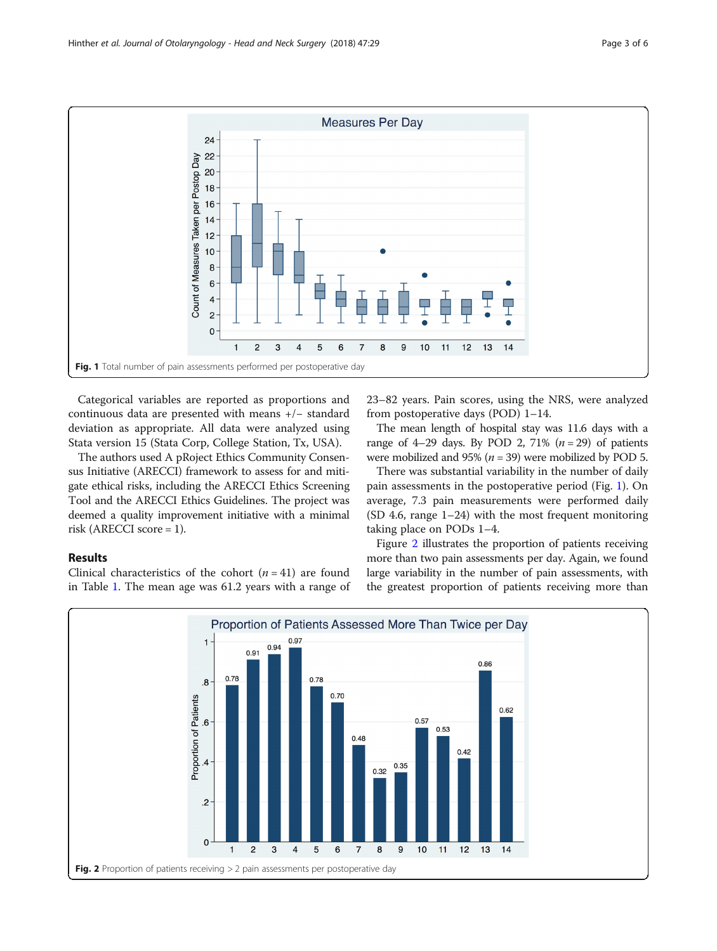

Categorical variables are reported as proportions and continuous data are presented with means +/− standard deviation as appropriate. All data were analyzed using Stata version 15 (Stata Corp, College Station, Tx, USA).

The authors used A pRoject Ethics Community Consensus Initiative (ARECCI) framework to assess for and mitigate ethical risks, including the ARECCI Ethics Screening Tool and the ARECCI Ethics Guidelines. The project was deemed a quality improvement initiative with a minimal risk (ARECCI score = 1).

23–82 years. Pain scores, using the NRS, were analyzed from postoperative days (POD) 1–14.

The mean length of hospital stay was 11.6 days with a range of 4–29 days. By POD 2, 71%  $(n = 29)$  of patients were mobilized and 95% ( $n = 39$ ) were mobilized by POD 5.

There was substantial variability in the number of daily pain assessments in the postoperative period (Fig. 1). On average, 7.3 pain measurements were performed daily  $(SD 4.6, range 1–24)$  with the most frequent monitoring taking place on PODs 1–4.

#### Results

Clinical characteristics of the cohort  $(n = 41)$  are found in Table [1](#page-1-0). The mean age was 61.2 years with a range of

Figure 2 illustrates the proportion of patients receiving more than two pain assessments per day. Again, we found large variability in the number of pain assessments, with the greatest proportion of patients receiving more than

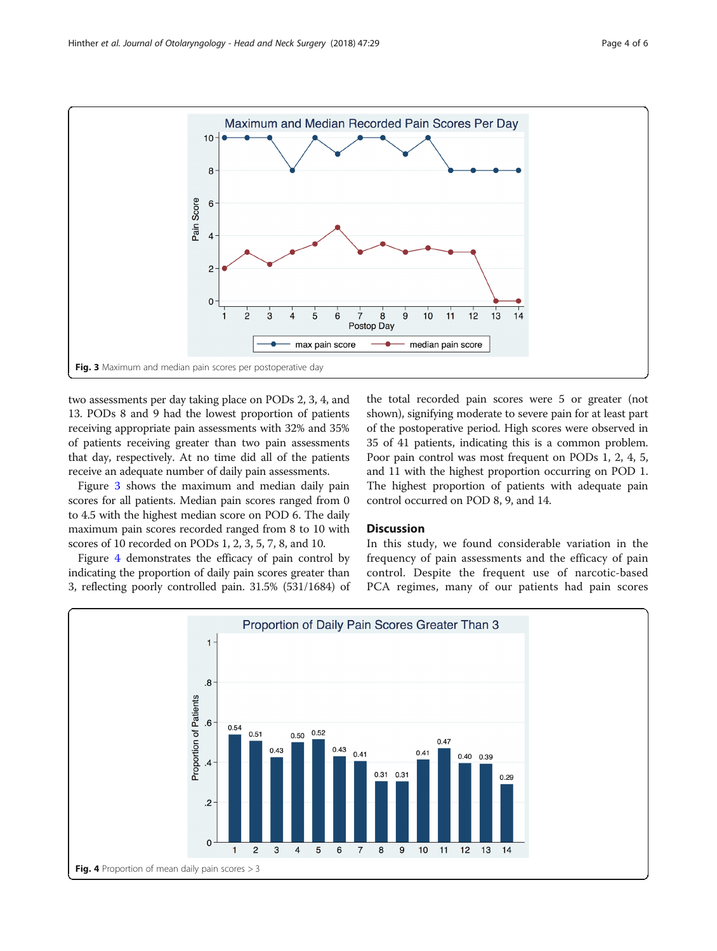<span id="page-3-0"></span>

two assessments per day taking place on PODs 2, 3, 4, and 13. PODs 8 and 9 had the lowest proportion of patients receiving appropriate pain assessments with 32% and 35% of patients receiving greater than two pain assessments that day, respectively. At no time did all of the patients receive an adequate number of daily pain assessments.

Figure 3 shows the maximum and median daily pain scores for all patients. Median pain scores ranged from 0 to 4.5 with the highest median score on POD 6. The daily maximum pain scores recorded ranged from 8 to 10 with scores of 10 recorded on PODs 1, 2, 3, 5, 7, 8, and 10.

Figure 4 demonstrates the efficacy of pain control by indicating the proportion of daily pain scores greater than 3, reflecting poorly controlled pain. 31.5% (531/1684) of

the total recorded pain scores were 5 or greater (not shown), signifying moderate to severe pain for at least part of the postoperative period. High scores were observed in 35 of 41 patients, indicating this is a common problem. Poor pain control was most frequent on PODs 1, 2, 4, 5, and 11 with the highest proportion occurring on POD 1. The highest proportion of patients with adequate pain control occurred on POD 8, 9, and 14.

#### **Discussion**

In this study, we found considerable variation in the frequency of pain assessments and the efficacy of pain control. Despite the frequent use of narcotic-based PCA regimes, many of our patients had pain scores

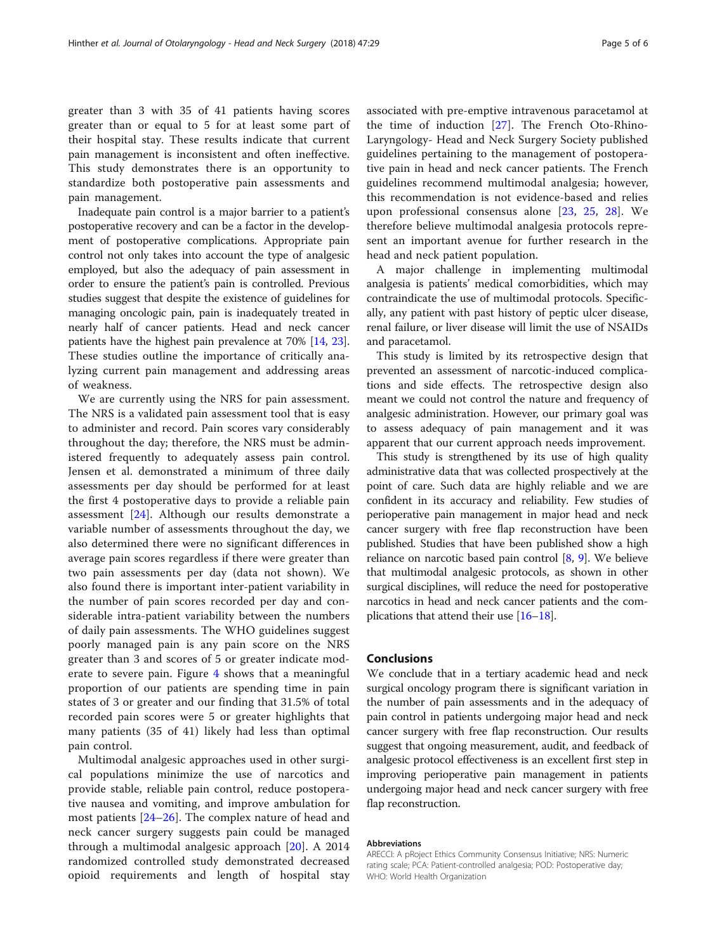greater than 3 with 35 of 41 patients having scores greater than or equal to 5 for at least some part of their hospital stay. These results indicate that current pain management is inconsistent and often ineffective. This study demonstrates there is an opportunity to standardize both postoperative pain assessments and pain management.

Inadequate pain control is a major barrier to a patient's postoperative recovery and can be a factor in the development of postoperative complications. Appropriate pain control not only takes into account the type of analgesic employed, but also the adequacy of pain assessment in order to ensure the patient's pain is controlled. Previous studies suggest that despite the existence of guidelines for managing oncologic pain, pain is inadequately treated in nearly half of cancer patients. Head and neck cancer patients have the highest pain prevalence at 70% [[14](#page-5-0), [23](#page-5-0)]. These studies outline the importance of critically analyzing current pain management and addressing areas of weakness.

We are currently using the NRS for pain assessment. The NRS is a validated pain assessment tool that is easy to administer and record. Pain scores vary considerably throughout the day; therefore, the NRS must be administered frequently to adequately assess pain control. Jensen et al. demonstrated a minimum of three daily assessments per day should be performed for at least the first 4 postoperative days to provide a reliable pain assessment [\[24](#page-5-0)]. Although our results demonstrate a variable number of assessments throughout the day, we also determined there were no significant differences in average pain scores regardless if there were greater than two pain assessments per day (data not shown). We also found there is important inter-patient variability in the number of pain scores recorded per day and considerable intra-patient variability between the numbers of daily pain assessments. The WHO guidelines suggest poorly managed pain is any pain score on the NRS greater than 3 and scores of 5 or greater indicate moderate to severe pain. Figure [4](#page-3-0) shows that a meaningful proportion of our patients are spending time in pain states of 3 or greater and our finding that 31.5% of total recorded pain scores were 5 or greater highlights that many patients (35 of 41) likely had less than optimal pain control.

Multimodal analgesic approaches used in other surgical populations minimize the use of narcotics and provide stable, reliable pain control, reduce postoperative nausea and vomiting, and improve ambulation for most patients [\[24](#page-5-0)–[26](#page-5-0)]. The complex nature of head and neck cancer surgery suggests pain could be managed through a multimodal analgesic approach [[20\]](#page-5-0). A 2014 randomized controlled study demonstrated decreased opioid requirements and length of hospital stay associated with pre-emptive intravenous paracetamol at the time of induction [[27\]](#page-5-0). The French Oto-Rhino-Laryngology- Head and Neck Surgery Society published guidelines pertaining to the management of postoperative pain in head and neck cancer patients. The French guidelines recommend multimodal analgesia; however, this recommendation is not evidence-based and relies upon professional consensus alone [[23,](#page-5-0) [25,](#page-5-0) [28\]](#page-5-0). We therefore believe multimodal analgesia protocols represent an important avenue for further research in the head and neck patient population.

A major challenge in implementing multimodal analgesia is patients' medical comorbidities, which may contraindicate the use of multimodal protocols. Specifically, any patient with past history of peptic ulcer disease, renal failure, or liver disease will limit the use of NSAIDs and paracetamol.

This study is limited by its retrospective design that prevented an assessment of narcotic-induced complications and side effects. The retrospective design also meant we could not control the nature and frequency of analgesic administration. However, our primary goal was to assess adequacy of pain management and it was apparent that our current approach needs improvement.

This study is strengthened by its use of high quality administrative data that was collected prospectively at the point of care. Such data are highly reliable and we are confident in its accuracy and reliability. Few studies of perioperative pain management in major head and neck cancer surgery with free flap reconstruction have been published. Studies that have been published show a high reliance on narcotic based pain control [\[8,](#page-5-0) [9](#page-5-0)]. We believe that multimodal analgesic protocols, as shown in other surgical disciplines, will reduce the need for postoperative narcotics in head and neck cancer patients and the complications that attend their use [\[16](#page-5-0)–[18](#page-5-0)].

#### Conclusions

We conclude that in a tertiary academic head and neck surgical oncology program there is significant variation in the number of pain assessments and in the adequacy of pain control in patients undergoing major head and neck cancer surgery with free flap reconstruction. Our results suggest that ongoing measurement, audit, and feedback of analgesic protocol effectiveness is an excellent first step in improving perioperative pain management in patients undergoing major head and neck cancer surgery with free flap reconstruction.

#### Abbreviations

ARECCI: A pRoject Ethics Community Consensus Initiative; NRS: Numeric rating scale; PCA: Patient-controlled analgesia; POD: Postoperative day; WHO: World Health Organization